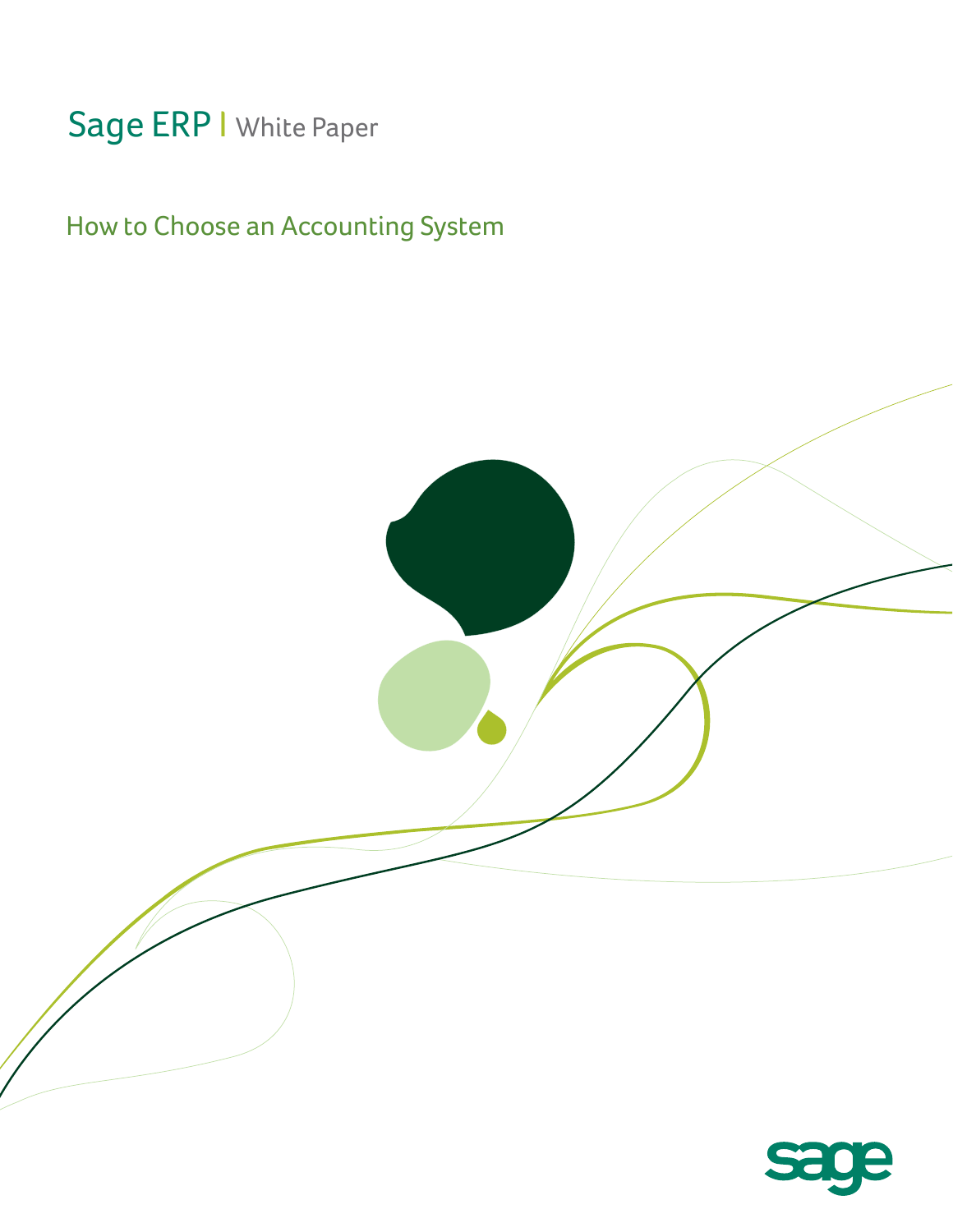# Sage ERP | White Paper

# How to Choose an Accounting System

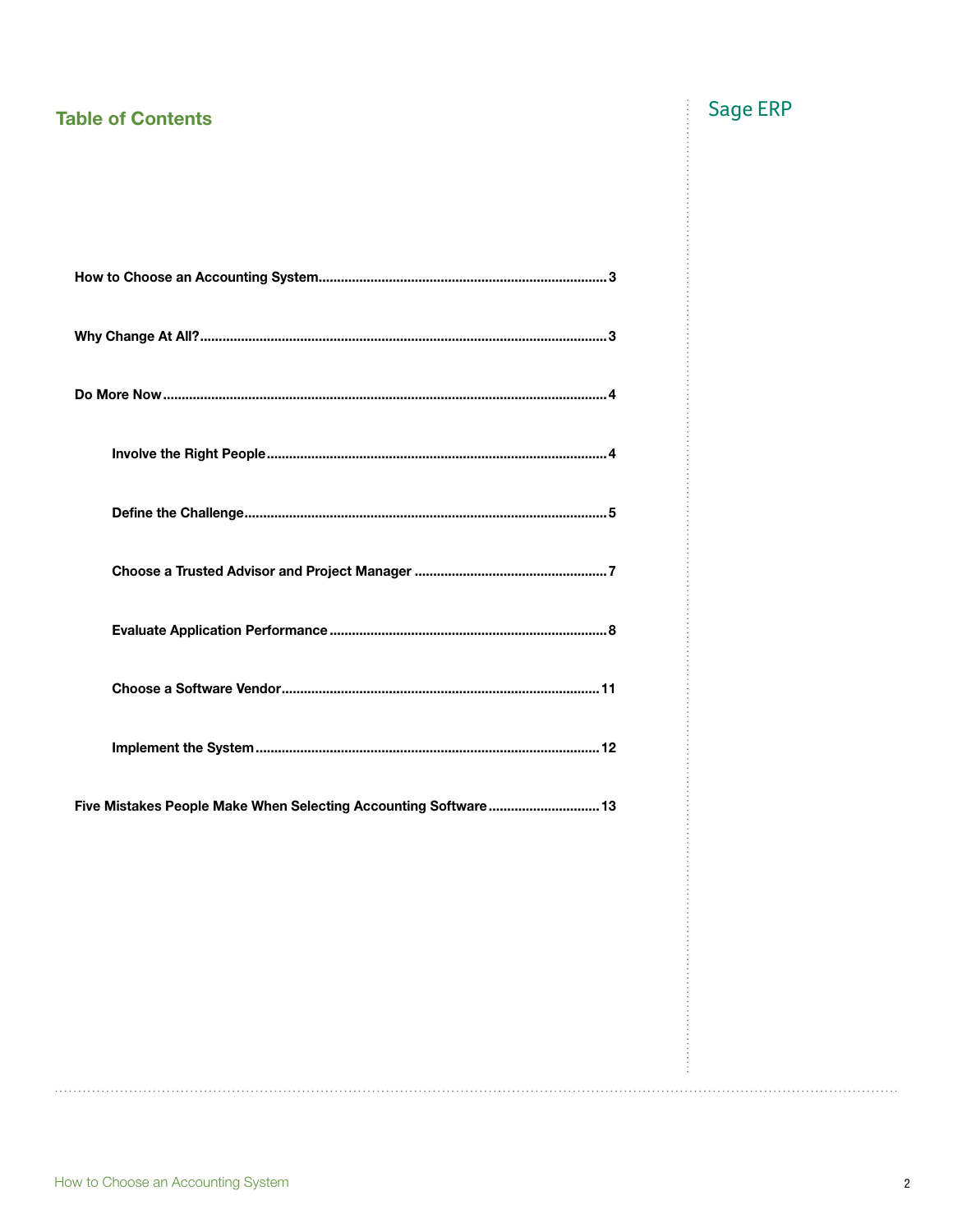# **Table of Contents**

# Sage ERP

Five Mistakes People Make When Selecting Accounting Software.............................. 13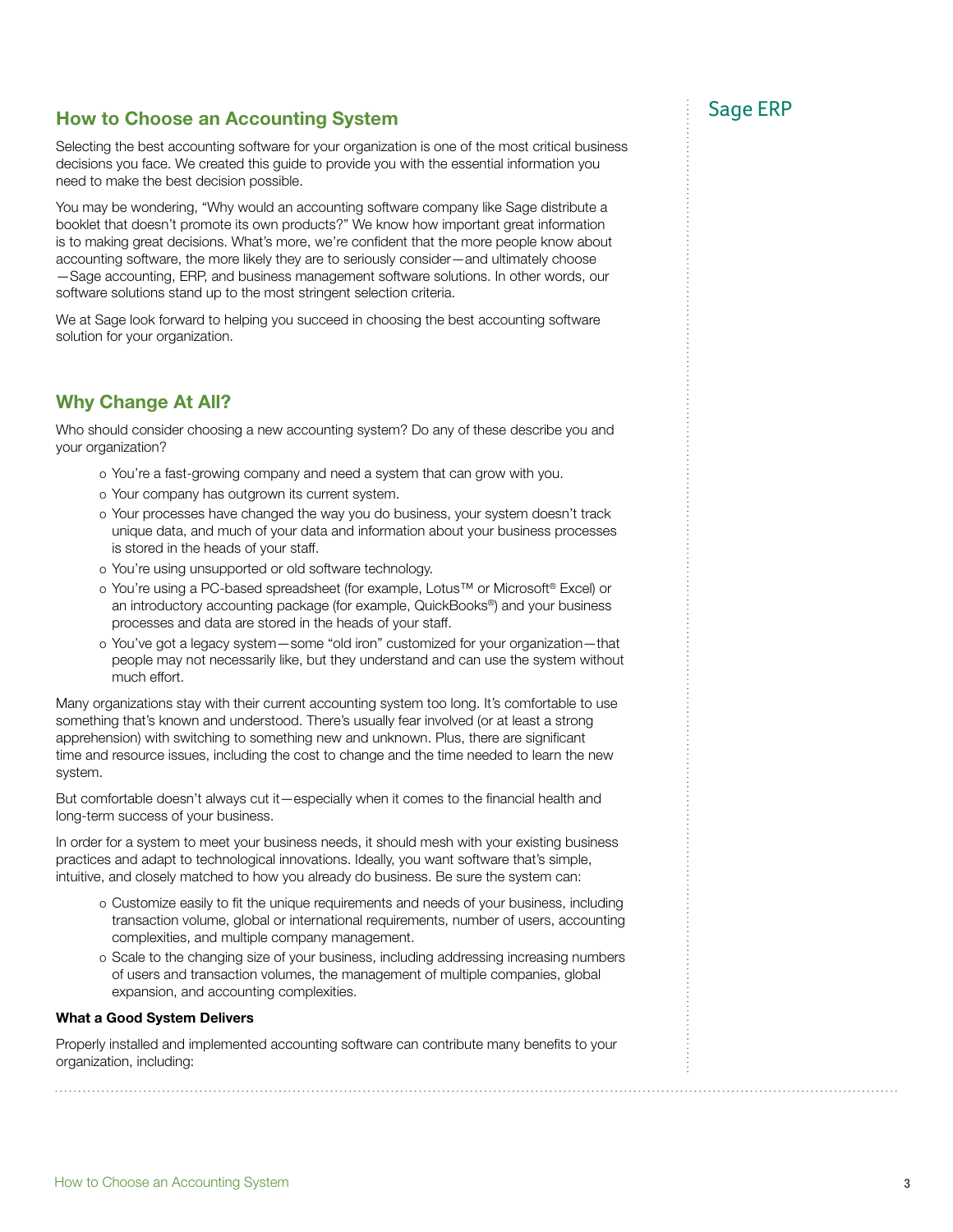# How to Choose an Accounting System **Example 2018** Sage ERP

Selecting the best accounting software for your organization is one of the most critical business decisions you face. We created this guide to provide you with the essential information you need to make the best decision possible.

You may be wondering, "Why would an accounting software company like Sage distribute a booklet that doesn't promote its own products?" We know how important great information is to making great decisions. What's more, we're confident that the more people know about accounting software, the more likely they are to seriously consider—and ultimately choose —Sage accounting, ERP, and business management software solutions. In other words, our software solutions stand up to the most stringent selection criteria.

We at Sage look forward to helping you succeed in choosing the best accounting software solution for your organization.

### Why Change At All?

Who should consider choosing a new accounting system? Do any of these describe you and your organization?

- o You're a fast-growing company and need a system that can grow with you.
- o Your company has outgrown its current system.
- o Your processes have changed the way you do business, your system doesn't track unique data, and much of your data and information about your business processes is stored in the heads of your staff.
- o You're using unsupported or old software technology.
- o You're using a PC-based spreadsheet (for example, Lotus™ or Microsoft® Excel) or an introductory accounting package (for example, QuickBooks®) and your business processes and data are stored in the heads of your staff.
- o You've got a legacy system—some "old iron" customized for your organization—that people may not necessarily like, but they understand and can use the system without much effort.

Many organizations stay with their current accounting system too long. It's comfortable to use something that's known and understood. There's usually fear involved (or at least a strong apprehension) with switching to something new and unknown. Plus, there are significant time and resource issues, including the cost to change and the time needed to learn the new system.

But comfortable doesn't always cut it—especially when it comes to the financial health and long-term success of your business.

In order for a system to meet your business needs, it should mesh with your existing business practices and adapt to technological innovations. Ideally, you want software that's simple, intuitive, and closely matched to how you already do business. Be sure the system can:

- o Customize easily to fit the unique requirements and needs of your business, including transaction volume, global or international requirements, number of users, accounting complexities, and multiple company management.
- o Scale to the changing size of your business, including addressing increasing numbers of users and transaction volumes, the management of multiple companies, global expansion, and accounting complexities.

#### What a Good System Delivers

Properly installed and implemented accounting software can contribute many benefits to your organization, including: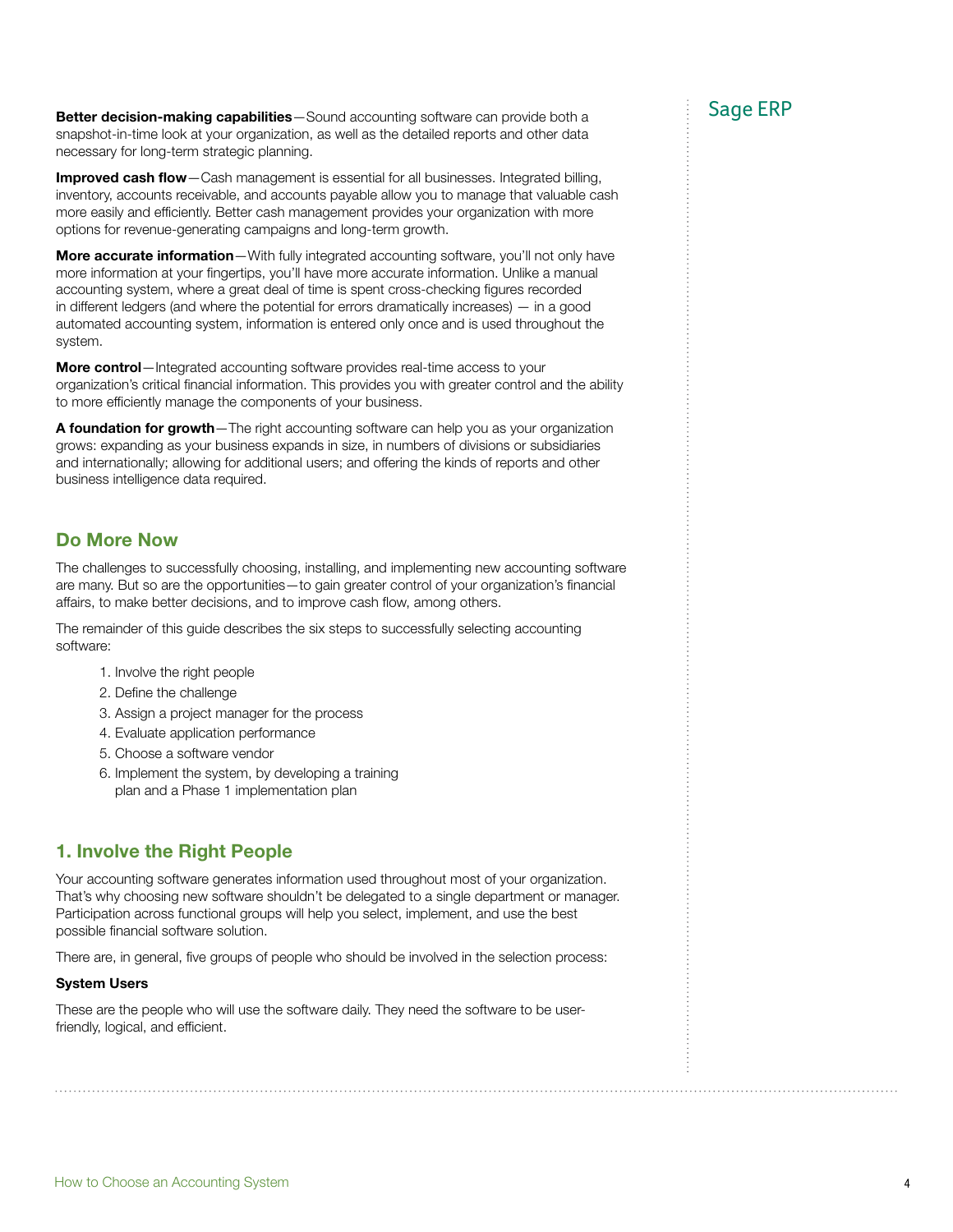Better decision-making capabilities—Sound accounting software can provide both a Sage ERP snapshot-in-time look at your organization, as well as the detailed reports and other data necessary for long-term strategic planning.

Improved cash flow—Cash management is essential for all businesses. Integrated billing, inventory, accounts receivable, and accounts payable allow you to manage that valuable cash more easily and efficiently. Better cash management provides your organization with more options for revenue-generating campaigns and long-term growth.

**More accurate information**—With fully integrated accounting software, you'll not only have more information at your fingertips, you'll have more accurate information. Unlike a manual accounting system, where a great deal of time is spent cross-checking figures recorded in different ledgers (and where the potential for errors dramatically increases) — in a good automated accounting system, information is entered only once and is used throughout the system.

More control-Integrated accounting software provides real-time access to your organization's critical financial information. This provides you with greater control and the ability to more efficiently manage the components of your business.

A foundation for growth-The right accounting software can help you as your organization grows: expanding as your business expands in size, in numbers of divisions or subsidiaries and internationally; allowing for additional users; and offering the kinds of reports and other business intelligence data required.

## Do More Now

The challenges to successfully choosing, installing, and implementing new accounting software are many. But so are the opportunities—to gain greater control of your organization's financial affairs, to make better decisions, and to improve cash flow, among others.

The remainder of this guide describes the six steps to successfully selecting accounting software:

- 1. Involve the right people
- 2. Define the challenge
- 3. Assign a project manager for the process
- 4. Evaluate application performance
- 5. Choose a software vendor
- 6. Implement the system, by developing a training plan and a Phase 1 implementation plan

# 1. Involve the Right People

Your accounting software generates information used throughout most of your organization. That's why choosing new software shouldn't be delegated to a single department or manager. Participation across functional groups will help you select, implement, and use the best possible financial software solution.

There are, in general, five groups of people who should be involved in the selection process:

### System Users

These are the people who will use the software daily. They need the software to be userfriendly, logical, and efficient.

. . . . . . . . . . . . . .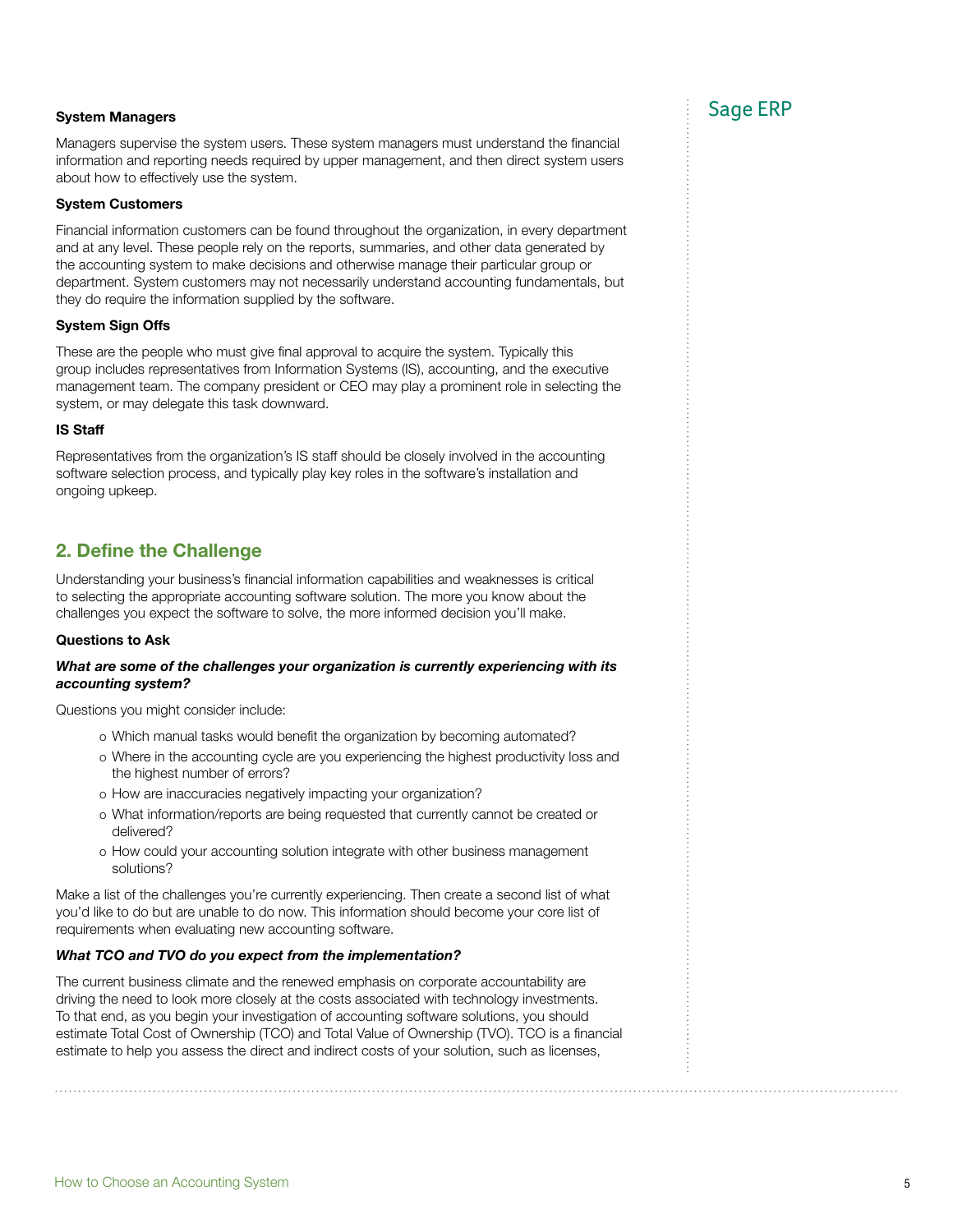Managers supervise the system users. These system managers must understand the financial information and reporting needs required by upper management, and then direct system users about how to effectively use the system.

#### System Customers

Financial information customers can be found throughout the organization, in every department and at any level. These people rely on the reports, summaries, and other data generated by the accounting system to make decisions and otherwise manage their particular group or department. System customers may not necessarily understand accounting fundamentals, but they do require the information supplied by the software.

#### System Sign Offs

These are the people who must give final approval to acquire the system. Typically this group includes representatives from Information Systems (IS), accounting, and the executive management team. The company president or CEO may play a prominent role in selecting the system, or may delegate this task downward.

#### IS Staff

Representatives from the organization's IS staff should be closely involved in the accounting software selection process, and typically play key roles in the software's installation and ongoing upkeep.

### 2. Define the Challenge

Understanding your business's financial information capabilities and weaknesses is critical to selecting the appropriate accounting software solution. The more you know about the challenges you expect the software to solve, the more informed decision you'll make.

#### Questions to Ask

#### *What are some of the challenges your organization is currently experiencing with its accounting system?*

Questions you might consider include:

- o Which manual tasks would benefit the organization by becoming automated?
- o Where in the accounting cycle are you experiencing the highest productivity loss and the highest number of errors?
- o How are inaccuracies negatively impacting your organization?
- o What information/reports are being requested that currently cannot be created or delivered?
- o How could your accounting solution integrate with other business management solutions?

Make a list of the challenges you're currently experiencing. Then create a second list of what you'd like to do but are unable to do now. This information should become your core list of requirements when evaluating new accounting software.

#### *What TCO and TVO do you expect from the implementation?*

The current business climate and the renewed emphasis on corporate accountability are driving the need to look more closely at the costs associated with technology investments. To that end, as you begin your investigation of accounting software solutions, you should estimate Total Cost of Ownership (TCO) and Total Value of Ownership (TVO). TCO is a financial estimate to help you assess the direct and indirect costs of your solution, such as licenses,

# System Managers and Sage ERP in the Sage ERP in the Sage ERP in the Sage ERP in the Sage ERP in the Sage ERP in the Sage ERP in the Sage ERP in the Sage ERP in the Sage ERP in the Sage In the Sage In the Sage In the Sage I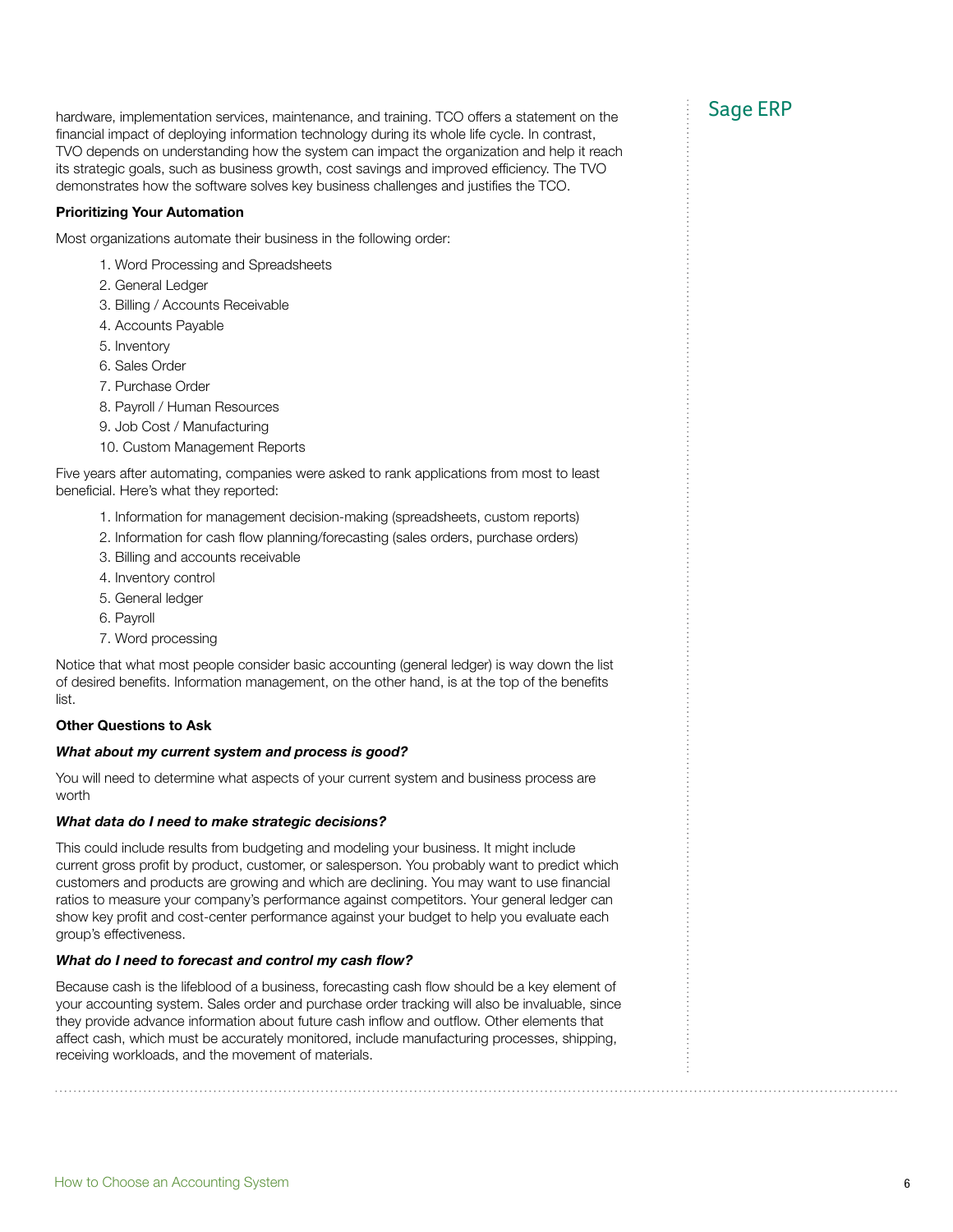hardware, implementation services, maintenance, and training. TCO offers a statement on the Sage ERP financial impact of deploying information technology during its whole life cycle. In contrast, TVO depends on understanding how the system can impact the organization and help it reach its strategic goals, such as business growth, cost savings and improved efficiency. The TVO demonstrates how the software solves key business challenges and justifies the TCO.

### Prioritizing Your Automation

Most organizations automate their business in the following order:

- 1. Word Processing and Spreadsheets
- 2. General Ledger
- 3. Billing / Accounts Receivable
- 4. Accounts Payable
- 5. Inventory
- 6. Sales Order
- 7. Purchase Order
- 8. Payroll / Human Resources
- 9. Job Cost / Manufacturing
- 10. Custom Management Reports

Five years after automating, companies were asked to rank applications from most to least beneficial. Here's what they reported:

- 1. Information for management decision-making (spreadsheets, custom reports)
- 2. Information for cash flow planning/forecasting (sales orders, purchase orders)
- 3. Billing and accounts receivable
- 4. Inventory control
- 5. General ledger
- 6. Payroll
- 7. Word processing

Notice that what most people consider basic accounting (general ledger) is way down the list of desired benefits. Information management, on the other hand, is at the top of the benefits list.

### Other Questions to Ask

#### *What about my current system and process is good?*

You will need to determine what aspects of your current system and business process are worth

#### *What data do I need to make strategic decisions?*

This could include results from budgeting and modeling your business. It might include current gross profit by product, customer, or salesperson. You probably want to predict which customers and products are growing and which are declining. You may want to use financial ratios to measure your company's performance against competitors. Your general ledger can show key profit and cost-center performance against your budget to help you evaluate each group's effectiveness.

### *What do I need to forecast and control my cash flow?*

Because cash is the lifeblood of a business, forecasting cash flow should be a key element of your accounting system. Sales order and purchase order tracking will also be invaluable, since they provide advance information about future cash inflow and outflow. Other elements that affect cash, which must be accurately monitored, include manufacturing processes, shipping, receiving workloads, and the movement of materials.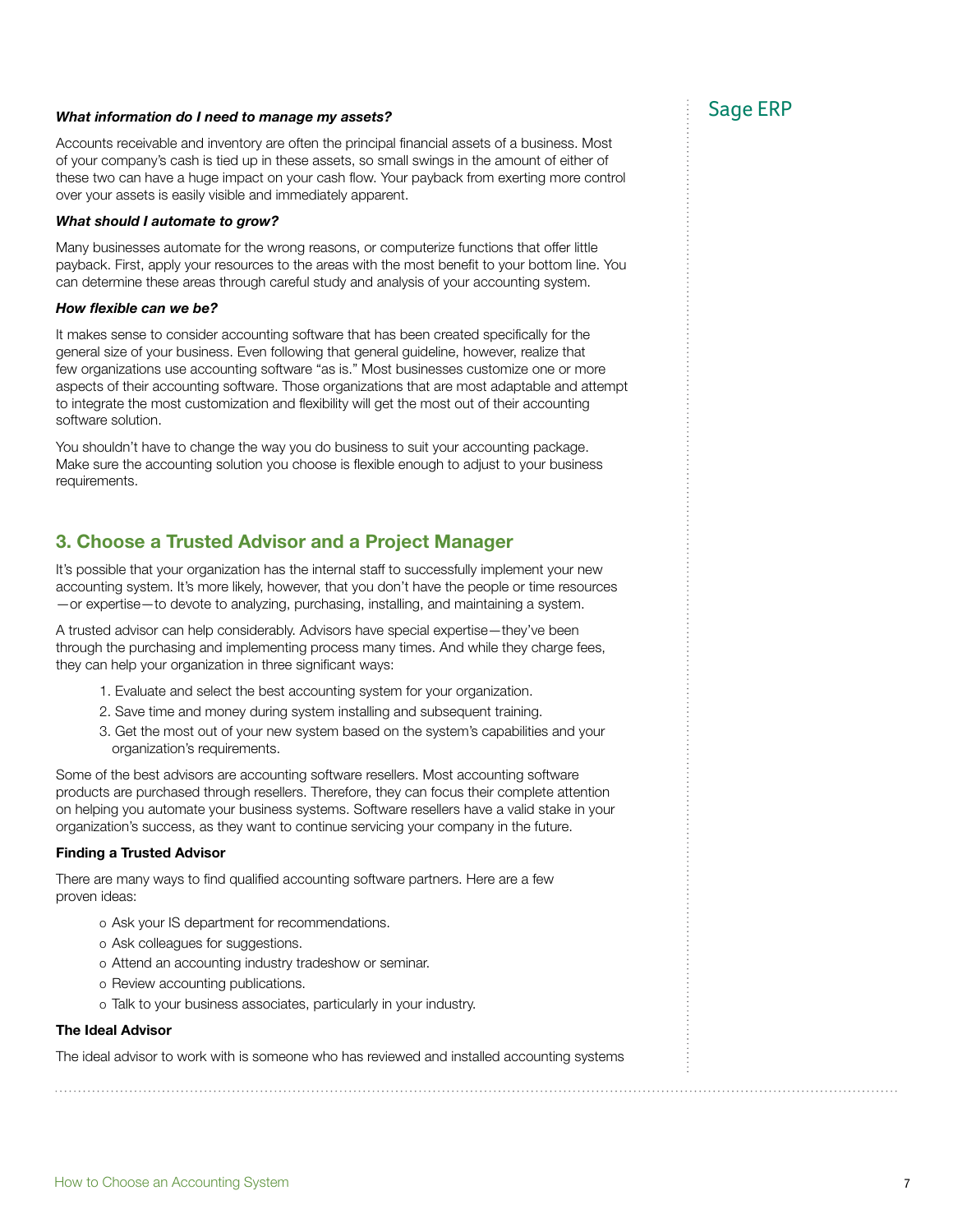# *What information do I need to manage my assets?* **Sage ERP** Sage ERP

Accounts receivable and inventory are often the principal financial assets of a business. Most of your company's cash is tied up in these assets, so small swings in the amount of either of these two can have a huge impact on your cash flow. Your payback from exerting more control over your assets is easily visible and immediately apparent.

#### *What should I automate to grow?*

Many businesses automate for the wrong reasons, or computerize functions that offer little payback. First, apply your resources to the areas with the most benefit to your bottom line. You can determine these areas through careful study and analysis of your accounting system.

#### *How flexible can we be?*

It makes sense to consider accounting software that has been created specifically for the general size of your business. Even following that general guideline, however, realize that few organizations use accounting software "as is." Most businesses customize one or more aspects of their accounting software. Those organizations that are most adaptable and attempt to integrate the most customization and flexibility will get the most out of their accounting software solution.

You shouldn't have to change the way you do business to suit your accounting package. Make sure the accounting solution you choose is flexible enough to adjust to your business requirements.

### 3. Choose a Trusted Advisor and a Project Manager

It's possible that your organization has the internal staff to successfully implement your new accounting system. It's more likely, however, that you don't have the people or time resources —or expertise—to devote to analyzing, purchasing, installing, and maintaining a system.

A trusted advisor can help considerably. Advisors have special expertise—they've been through the purchasing and implementing process many times. And while they charge fees, they can help your organization in three significant ways:

- 1. Evaluate and select the best accounting system for your organization.
- 2. Save time and money during system installing and subsequent training.
- 3. Get the most out of your new system based on the system's capabilities and your organization's requirements.

Some of the best advisors are accounting software resellers. Most accounting software products are purchased through resellers. Therefore, they can focus their complete attention on helping you automate your business systems. Software resellers have a valid stake in your organization's success, as they want to continue servicing your company in the future.

#### Finding a Trusted Advisor

There are many ways to find qualified accounting software partners. Here are a few proven ideas:

- o Ask your IS department for recommendations.
- o Ask colleagues for suggestions.
- o Attend an accounting industry tradeshow or seminar.
- o Review accounting publications.
- o Talk to your business associates, particularly in your industry.

#### The Ideal Advisor

The ideal advisor to work with is someone who has reviewed and installed accounting systems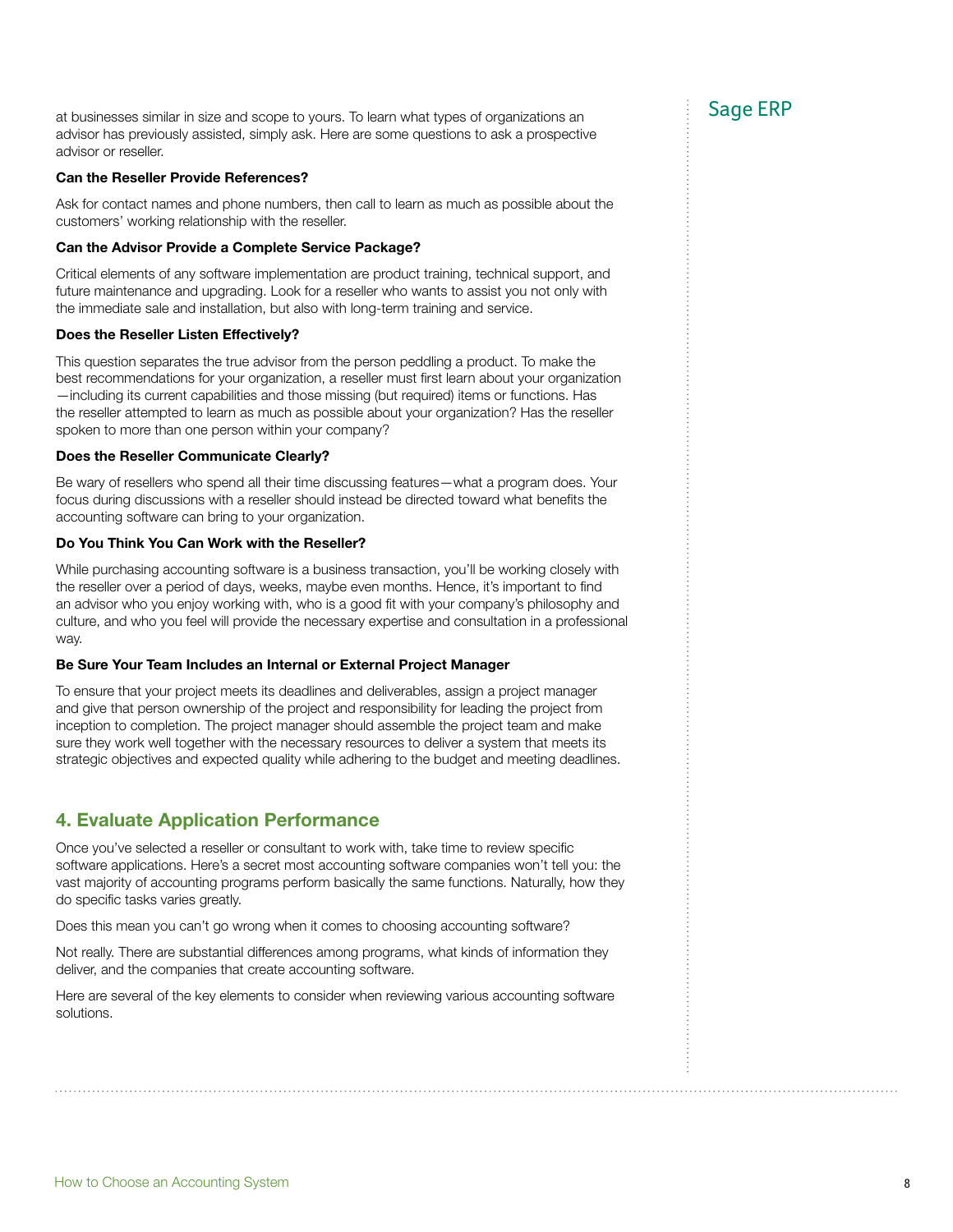at businesses similar in size and scope to yours. To learn what types of organizations an  $\qquad \qquad$ : Sage ERP advisor has previously assisted, simply ask. Here are some questions to ask a prospective advisor or reseller.

#### Can the Reseller Provide References?

Ask for contact names and phone numbers, then call to learn as much as possible about the customers' working relationship with the reseller.

#### Can the Advisor Provide a Complete Service Package?

Critical elements of any software implementation are product training, technical support, and future maintenance and upgrading. Look for a reseller who wants to assist you not only with the immediate sale and installation, but also with long-term training and service.

#### Does the Reseller Listen Effectively?

This question separates the true advisor from the person peddling a product. To make the best recommendations for your organization, a reseller must first learn about your organization —including its current capabilities and those missing (but required) items or functions. Has the reseller attempted to learn as much as possible about your organization? Has the reseller spoken to more than one person within your company?

#### Does the Reseller Communicate Clearly?

Be wary of resellers who spend all their time discussing features—what a program does. Your focus during discussions with a reseller should instead be directed toward what benefits the accounting software can bring to your organization.

#### Do You Think You Can Work with the Reseller?

While purchasing accounting software is a business transaction, you'll be working closely with the reseller over a period of days, weeks, maybe even months. Hence, it's important to find an advisor who you enjoy working with, who is a good fit with your company's philosophy and culture, and who you feel will provide the necessary expertise and consultation in a professional way.

#### Be Sure Your Team Includes an Internal or External Project Manager

To ensure that your project meets its deadlines and deliverables, assign a project manager and give that person ownership of the project and responsibility for leading the project from inception to completion. The project manager should assemble the project team and make sure they work well together with the necessary resources to deliver a system that meets its strategic objectives and expected quality while adhering to the budget and meeting deadlines.

### 4. Evaluate Application Performance

Once you've selected a reseller or consultant to work with, take time to review specific software applications. Here's a secret most accounting software companies won't tell you: the vast majority of accounting programs perform basically the same functions. Naturally, how they do specific tasks varies greatly.

Does this mean you can't go wrong when it comes to choosing accounting software?

Not really. There are substantial differences among programs, what kinds of information they deliver, and the companies that create accounting software.

Here are several of the key elements to consider when reviewing various accounting software solutions.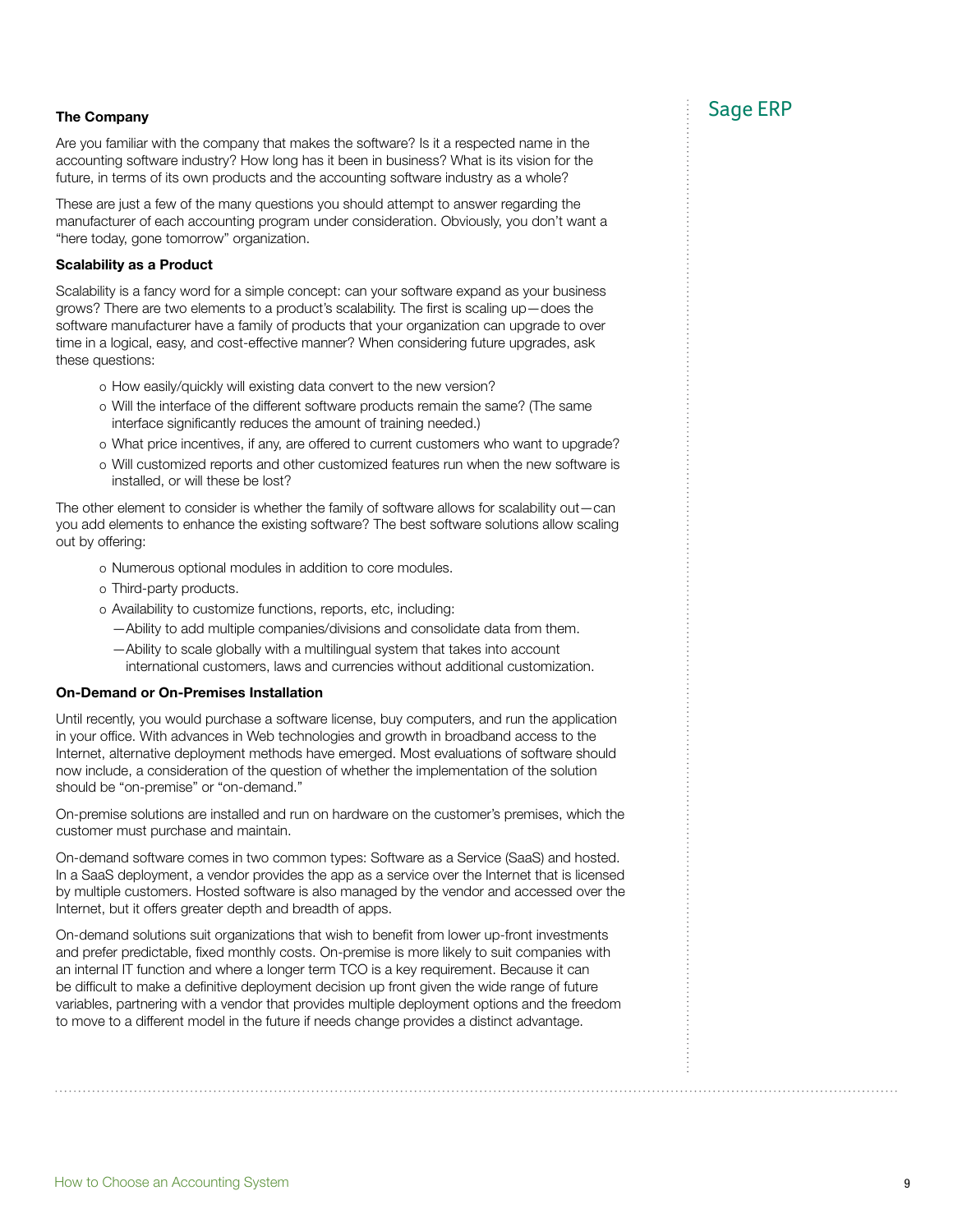# The Company Sage ERP is a state of the Company of the Company of the Company of the Company of the Sage ERP is

Are you familiar with the company that makes the software? Is it a respected name in the accounting software industry? How long has it been in business? What is its vision for the future, in terms of its own products and the accounting software industry as a whole?

These are just a few of the many questions you should attempt to answer regarding the manufacturer of each accounting program under consideration. Obviously, you don't want a "here today, gone tomorrow" organization.

#### Scalability as a Product

Scalability is a fancy word for a simple concept: can your software expand as your business grows? There are two elements to a product's scalability. The first is scaling up—does the software manufacturer have a family of products that your organization can upgrade to over time in a logical, easy, and cost-effective manner? When considering future upgrades, ask these questions:

- o How easily/quickly will existing data convert to the new version?
- o Will the interface of the different software products remain the same? (The same interface significantly reduces the amount of training needed.)
- o What price incentives, if any, are offered to current customers who want to upgrade?
- o Will customized reports and other customized features run when the new software is installed, or will these be lost?

The other element to consider is whether the family of software allows for scalability out—can you add elements to enhance the existing software? The best software solutions allow scaling out by offering:

- o Numerous optional modules in addition to core modules.
- o Third-party products.
- o Availability to customize functions, reports, etc, including:
	- —Ability to add multiple companies/divisions and consolidate data from them.
- —Ability to scale globally with a multilingual system that takes into account international customers, laws and currencies without additional customization.

#### On-Demand or On-Premises Installation

Until recently, you would purchase a software license, buy computers, and run the application in your office. With advances in Web technologies and growth in broadband access to the Internet, alternative deployment methods have emerged. Most evaluations of software should now include, a consideration of the question of whether the implementation of the solution should be "on-premise" or "on-demand."

On-premise solutions are installed and run on hardware on the customer's premises, which the customer must purchase and maintain.

On-demand software comes in two common types: Software as a Service (SaaS) and hosted. In a SaaS deployment, a vendor provides the app as a service over the Internet that is licensed by multiple customers. Hosted software is also managed by the vendor and accessed over the Internet, but it offers greater depth and breadth of apps.

On-demand solutions suit organizations that wish to benefit from lower up-front investments and prefer predictable, fixed monthly costs. On-premise is more likely to suit companies with an internal IT function and where a longer term TCO is a key requirement. Because it can be difficult to make a definitive deployment decision up front given the wide range of future variables, partnering with a vendor that provides multiple deployment options and the freedom to move to a different model in the future if needs change provides a distinct advantage.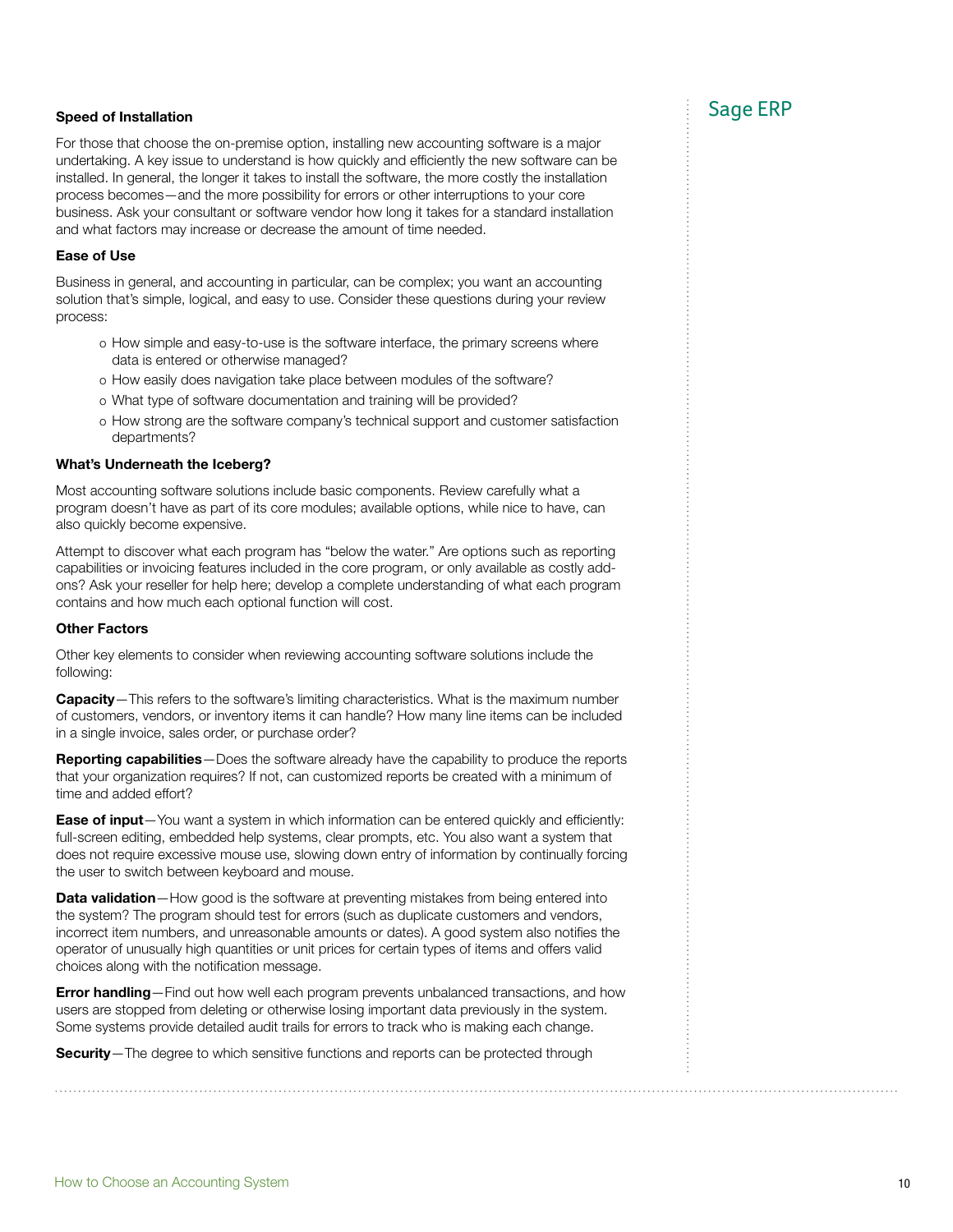# speed of Installation Sage ERP in the Sage ERP in the Sage ERP in the Sage ERP in the Sage ERP in the Sage ERP in the Sage  $\sim$

For those that choose the on-premise option, installing new accounting software is a major undertaking. A key issue to understand is how quickly and efficiently the new software can be installed. In general, the longer it takes to install the software, the more costly the installation process becomes—and the more possibility for errors or other interruptions to your core business. Ask your consultant or software vendor how long it takes for a standard installation and what factors may increase or decrease the amount of time needed.

#### Ease of Use

Business in general, and accounting in particular, can be complex; you want an accounting solution that's simple, logical, and easy to use. Consider these questions during your review process:

- o How simple and easy-to-use is the software interface, the primary screens where data is entered or otherwise managed?
- o How easily does navigation take place between modules of the software?
- o What type of software documentation and training will be provided?
- o How strong are the software company's technical support and customer satisfaction departments?

#### What's Underneath the Iceberg?

Most accounting software solutions include basic components. Review carefully what a program doesn't have as part of its core modules; available options, while nice to have, can also quickly become expensive.

Attempt to discover what each program has "below the water." Are options such as reporting capabilities or invoicing features included in the core program, or only available as costly addons? Ask your reseller for help here; develop a complete understanding of what each program contains and how much each optional function will cost.

#### Other Factors

Other key elements to consider when reviewing accounting software solutions include the following:

Capacity–This refers to the software's limiting characteristics. What is the maximum number of customers, vendors, or inventory items it can handle? How many line items can be included in a single invoice, sales order, or purchase order?

Reporting capabilities—Does the software already have the capability to produce the reports that your organization requires? If not, can customized reports be created with a minimum of time and added effort?

**Ease of input**—You want a system in which information can be entered quickly and efficiently: full-screen editing, embedded help systems, clear prompts, etc. You also want a system that does not require excessive mouse use, slowing down entry of information by continually forcing the user to switch between keyboard and mouse.

Data validation-How good is the software at preventing mistakes from being entered into the system? The program should test for errors (such as duplicate customers and vendors, incorrect item numbers, and unreasonable amounts or dates). A good system also notifies the operator of unusually high quantities or unit prices for certain types of items and offers valid choices along with the notification message.

**Error handling**—Find out how well each program prevents unbalanced transactions, and how users are stopped from deleting or otherwise losing important data previously in the system. Some systems provide detailed audit trails for errors to track who is making each change.

Security-The degree to which sensitive functions and reports can be protected through

. . . . . . . . . . . . . . . .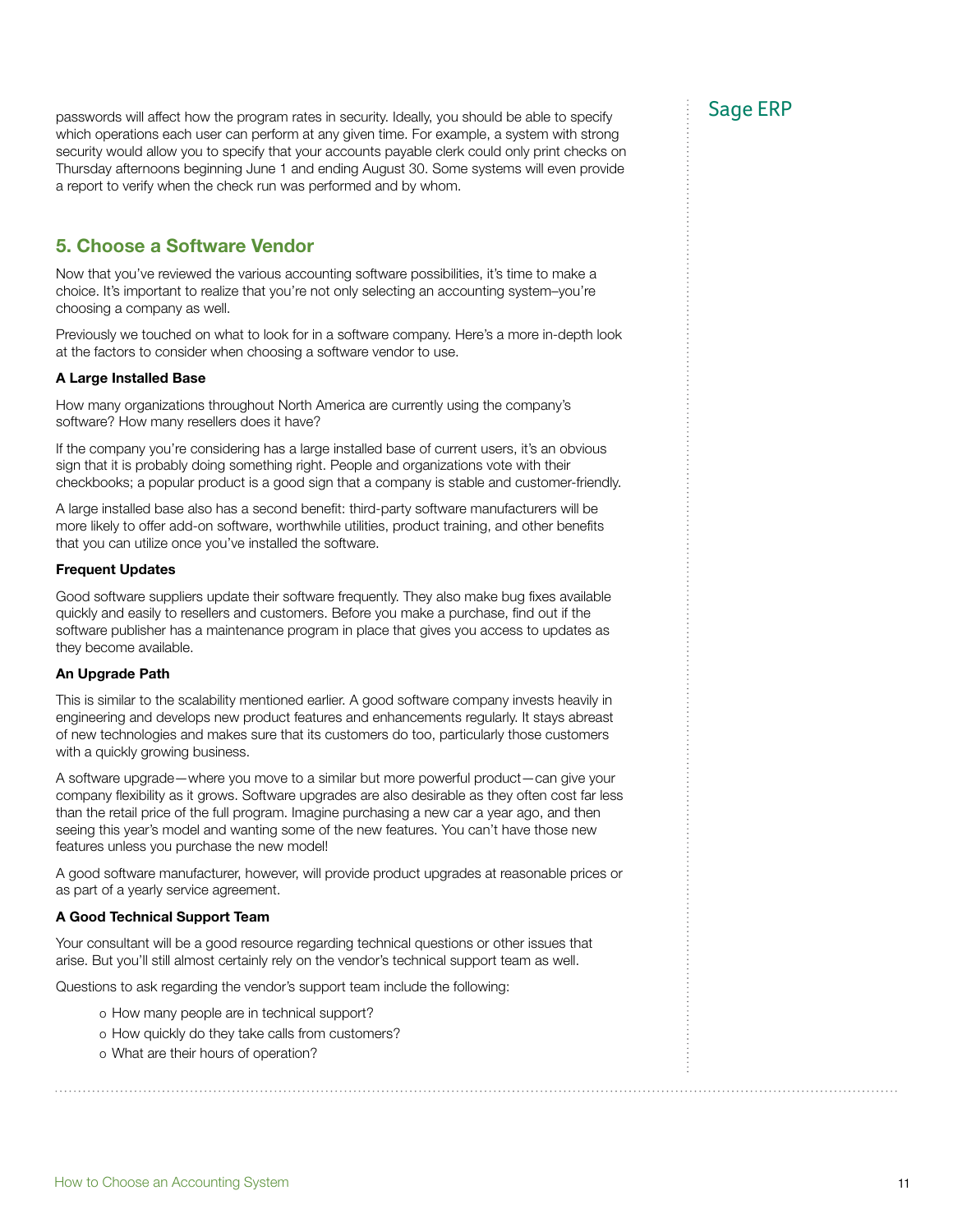passwords will affect how the program rates in security. Ideally, you should be able to specify  $\text{Sage ERP}$ which operations each user can perform at any given time. For example, a system with strong security would allow you to specify that your accounts payable clerk could only print checks on Thursday afternoons beginning June 1 and ending August 30. Some systems will even provide a report to verify when the check run was performed and by whom.

## 5. Choose a Software Vendor

Now that you've reviewed the various accounting software possibilities, it's time to make a choice. It's important to realize that you're not only selecting an accounting system–you're choosing a company as well.

Previously we touched on what to look for in a software company. Here's a more in-depth look at the factors to consider when choosing a software vendor to use.

#### A Large Installed Base

How many organizations throughout North America are currently using the company's software? How many resellers does it have?

If the company you're considering has a large installed base of current users, it's an obvious sign that it is probably doing something right. People and organizations vote with their checkbooks; a popular product is a good sign that a company is stable and customer-friendly.

A large installed base also has a second benefit: third-party software manufacturers will be more likely to offer add-on software, worthwhile utilities, product training, and other benefits that you can utilize once you've installed the software.

#### Frequent Updates

Good software suppliers update their software frequently. They also make bug fixes available quickly and easily to resellers and customers. Before you make a purchase, find out if the software publisher has a maintenance program in place that gives you access to updates as they become available.

### An Upgrade Path

This is similar to the scalability mentioned earlier. A good software company invests heavily in engineering and develops new product features and enhancements regularly. It stays abreast of new technologies and makes sure that its customers do too, particularly those customers with a quickly growing business.

A software upgrade—where you move to a similar but more powerful product—can give your company flexibility as it grows. Software upgrades are also desirable as they often cost far less than the retail price of the full program. Imagine purchasing a new car a year ago, and then seeing this year's model and wanting some of the new features. You can't have those new features unless you purchase the new model!

A good software manufacturer, however, will provide product upgrades at reasonable prices or as part of a yearly service agreement.

### A Good Technical Support Team

Your consultant will be a good resource regarding technical questions or other issues that arise. But you'll still almost certainly rely on the vendor's technical support team as well.

Questions to ask regarding the vendor's support team include the following:

- o How many people are in technical support?
- o How quickly do they take calls from customers?
- o What are their hours of operation?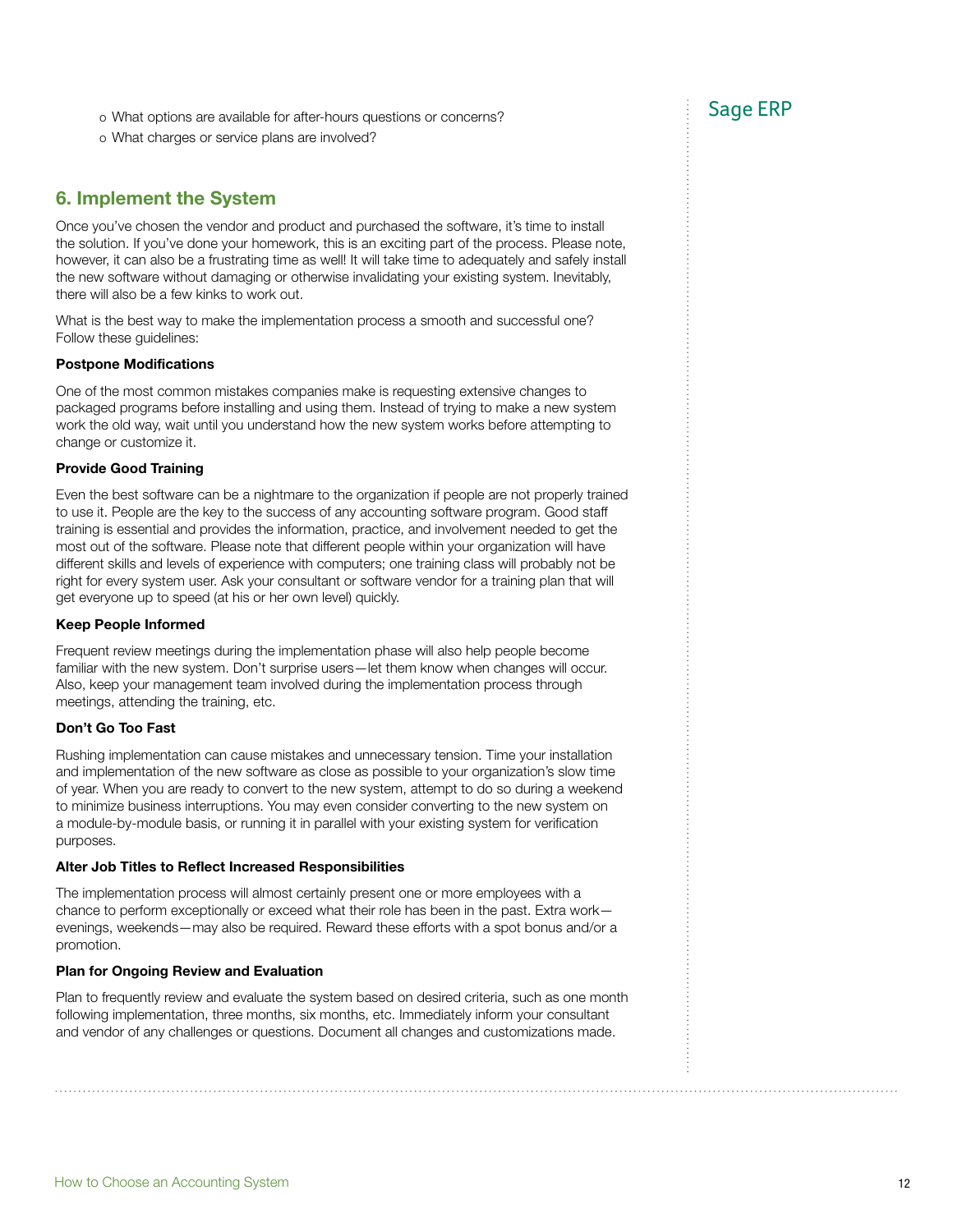o What options are available for after-hours questions or concerns? Sage ERP

o What charges or service plans are involved?

## 6. Implement the System

Once you've chosen the vendor and product and purchased the software, it's time to install the solution. If you've done your homework, this is an exciting part of the process. Please note, however, it can also be a frustrating time as well! It will take time to adequately and safely install the new software without damaging or otherwise invalidating your existing system. Inevitably, there will also be a few kinks to work out.

What is the best way to make the implementation process a smooth and successful one? Follow these guidelines:

#### Postpone Modifications

One of the most common mistakes companies make is requesting extensive changes to packaged programs before installing and using them. Instead of trying to make a new system work the old way, wait until you understand how the new system works before attempting to change or customize it.

#### Provide Good Training

Even the best software can be a nightmare to the organization if people are not properly trained to use it. People are the key to the success of any accounting software program. Good staff training is essential and provides the information, practice, and involvement needed to get the most out of the software. Please note that different people within your organization will have different skills and levels of experience with computers; one training class will probably not be right for every system user. Ask your consultant or software vendor for a training plan that will get everyone up to speed (at his or her own level) quickly.

#### Keep People Informed

Frequent review meetings during the implementation phase will also help people become familiar with the new system. Don't surprise users—let them know when changes will occur. Also, keep your management team involved during the implementation process through meetings, attending the training, etc.

### Don't Go Too Fast

Rushing implementation can cause mistakes and unnecessary tension. Time your installation and implementation of the new software as close as possible to your organization's slow time of year. When you are ready to convert to the new system, attempt to do so during a weekend to minimize business interruptions. You may even consider converting to the new system on a module-by-module basis, or running it in parallel with your existing system for verification purposes.

#### Alter Job Titles to Reflect Increased Responsibilities

The implementation process will almost certainly present one or more employees with a chance to perform exceptionally or exceed what their role has been in the past. Extra work evenings, weekends—may also be required. Reward these efforts with a spot bonus and/or a promotion.

### Plan for Ongoing Review and Evaluation

Plan to frequently review and evaluate the system based on desired criteria, such as one month following implementation, three months, six months, etc. Immediately inform your consultant and vendor of any challenges or questions. Document all changes and customizations made.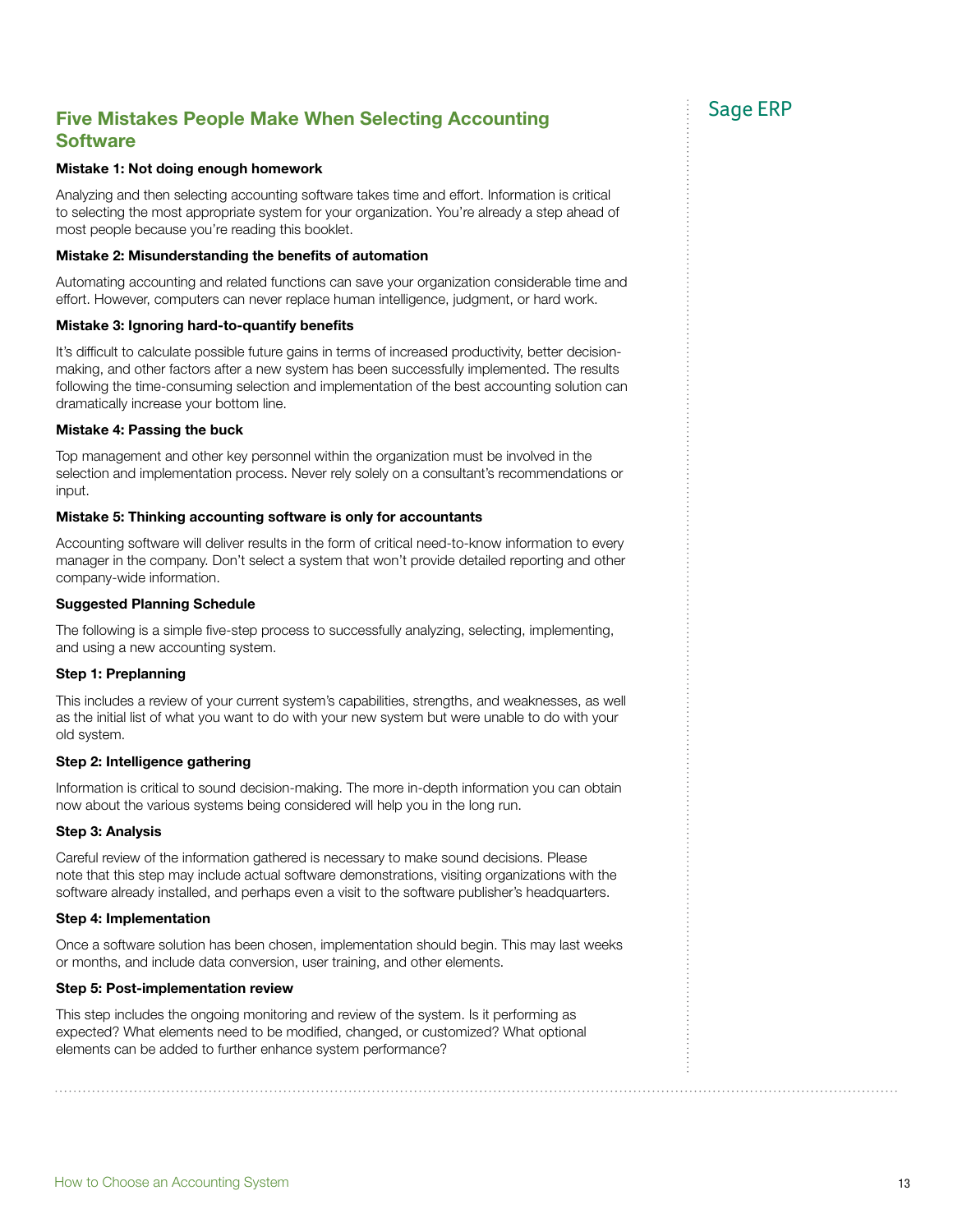# Five Mistakes People Make When Selecting Accounting Five Mistakes People Make When Selecting Accounting **Software**

#### Mistake 1: Not doing enough homework

Analyzing and then selecting accounting software takes time and effort. Information is critical to selecting the most appropriate system for your organization. You're already a step ahead of most people because you're reading this booklet.

#### Mistake 2: Misunderstanding the benefits of automation

Automating accounting and related functions can save your organization considerable time and effort. However, computers can never replace human intelligence, judgment, or hard work.

#### Mistake 3: Ignoring hard-to-quantify benefits

It's difficult to calculate possible future gains in terms of increased productivity, better decisionmaking, and other factors after a new system has been successfully implemented. The results following the time-consuming selection and implementation of the best accounting solution can dramatically increase your bottom line.

#### Mistake 4: Passing the buck

Top management and other key personnel within the organization must be involved in the selection and implementation process. Never rely solely on a consultant's recommendations or input.

#### Mistake 5: Thinking accounting software is only for accountants

Accounting software will deliver results in the form of critical need-to-know information to every manager in the company. Don't select a system that won't provide detailed reporting and other company-wide information.

#### Suggested Planning Schedule

The following is a simple five-step process to successfully analyzing, selecting, implementing, and using a new accounting system.

#### Step 1: Preplanning

This includes a review of your current system's capabilities, strengths, and weaknesses, as well as the initial list of what you want to do with your new system but were unable to do with your old system.

#### Step 2: Intelligence gathering

Information is critical to sound decision-making. The more in-depth information you can obtain now about the various systems being considered will help you in the long run.

#### Step 3: Analysis

Careful review of the information gathered is necessary to make sound decisions. Please note that this step may include actual software demonstrations, visiting organizations with the software already installed, and perhaps even a visit to the software publisher's headquarters.

#### Step 4: Implementation

Once a software solution has been chosen, implementation should begin. This may last weeks or months, and include data conversion, user training, and other elements.

#### Step 5: Post-implementation review

This step includes the ongoing monitoring and review of the system. Is it performing as expected? What elements need to be modified, changed, or customized? What optional elements can be added to further enhance system performance?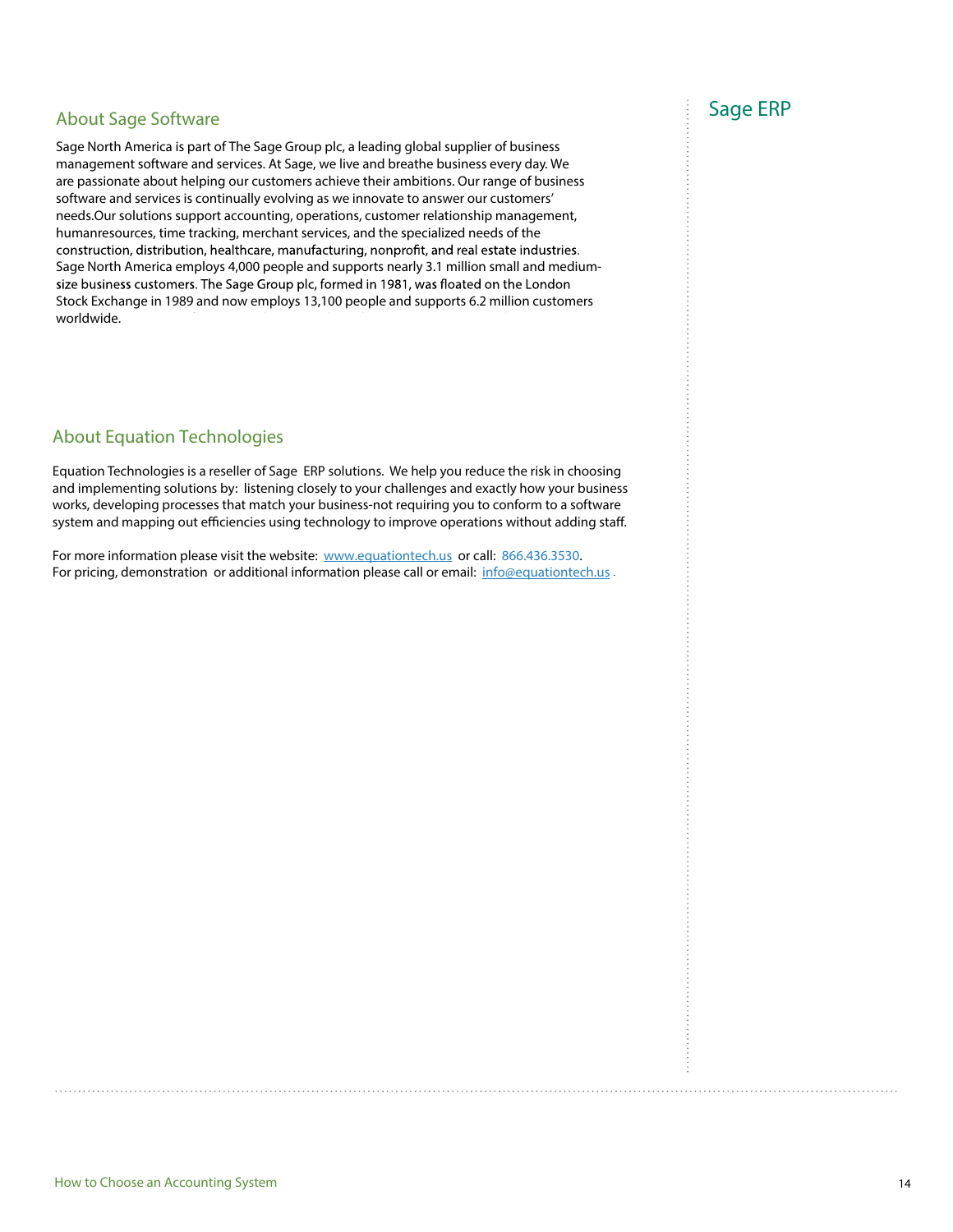# About Sage Software and the same state of the Sage ERP state of the Sage ERP state of the Sage ERP state of the Sage ERP state of the Sage ERP state of the Sage ERP state of the Sage School and the Sage School and the Sage

Sage North America is part of The Sage Group plc, a leading global supplier of business management software and services. At Sage, we live and breathe business every day. We are passionate about helping our customers achieve their ambitions. Our range of business software and services is continually evolving as we innovate to answer our customers' needs.Our solutions support accounting, operations, customer relationship management, humanresources, time tracking, merchant services, and the specialized needs of the construction, distribution, healthcare, manufacturing, nonprofit, and real estate industries. Sage North America employs 4,000 people and supports nearly 3.1 million small and mediumsize business customers. The Sage Group plc, formed in 1981, was floated on the London Stock Exchange in 1989 and now employs 13,100 people and supports 6.2 million customers worldwide. For more information, please visit the website at website at website at website at www.SageNorthAmerica.com or website at which  $\alpha$ 

# About Equation Technologies

Equation Technologies is a reseller of Sage ERP solutions. We help you reduce the risk in choosing and implementing solutions by: listening closely to your challenges and exactly how your business works, developing processes that match your business-not requiring you to conform to a software system and mapping out efficiencies using technology to improve operations without adding staff.

For more information please visit the website: www.equationtech.us or call: 866.436.3530. For pricing, demonstration or additional information please call or email: info@equationtech.us